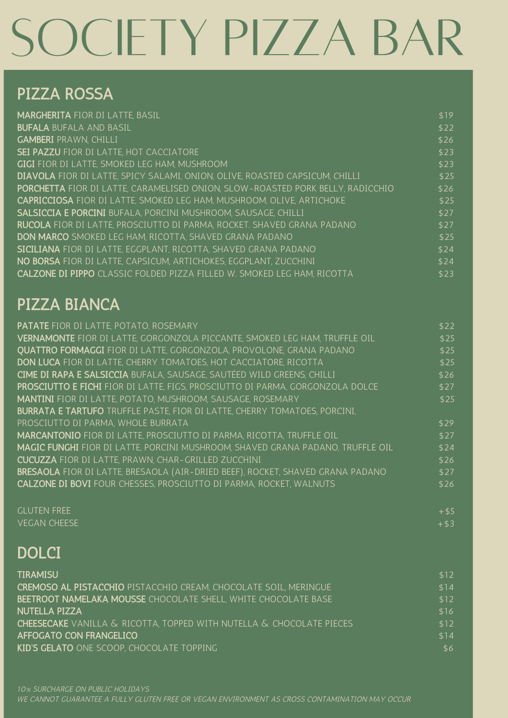# SOCIETY PIZZA BAR

# PIZZA ROSSA

| <b>MARGHERITA FIOR DI LATTE, BASIL</b>                                                | \$19 |
|---------------------------------------------------------------------------------------|------|
| <b>BUFALA BUFALA AND BASIL</b>                                                        | \$22 |
| <b>GAMBERI</b> PRAWN, CHILLI                                                          | \$26 |
| <b>SEI PAZZU FIOR DI LATTE, HOT CACCIATORE</b>                                        | \$23 |
| <b>GIGI</b> FIOR DI LATTE, SMOKED LEG HAM, MUSHROOM                                   | \$23 |
| DIAVOLA FIOR DI LATTE, SPICY SALAMI, ONION, OLIVE, ROASTED CAPSICUM, CHILLI           | \$25 |
| <b>PORCHETTA</b> FIOR DI LATTE, CARAMELISED ONION, SLOW-ROASTED PORK BELLY, RADICCHIO | \$26 |
| <b>CAPRICCIOSA</b> FIOR DI LATTE, SMOKED LEG HAM, MUSHROOM, OLIVE, ARTICHOKE          | \$25 |
| <b>SALSICCIA E PORCINI BUFALA, PORCINI MUSHROOM, SAUSAGE, CHILLI</b>                  | \$27 |
| <b>RUCOLA</b> FIOR DI LATTE, PROSCIUTTO DI PARMA, ROCKET. SHAVED GRANA PADANO         | \$27 |
| <b>DON MARCO</b> SMOKED LEG HAM, RICOTTA, SHAVED GRANA PADANO                         | \$25 |
| <b>SICILIANA</b> FIOR DI LATTE, EGGPLANT, RICOTTA, SHAVED GRANA PADANO                | \$24 |
| NO BORSA FIOR DI LATTE, CAPSICUM, ARTICHOKES, EGGPLANT, ZUCCHINI                      | \$24 |
| <b>CALZONE DI PIPPO</b> CLASSIC FOLDED PIZZA FILLED W. SMOKED LEG HAM, RICOTTA        | \$23 |
|                                                                                       |      |

### PIZZA BIANCA

| <b>PATATE</b> FIOR DI LATTE, POTATO, ROSEMARY                                         | \$22   |
|---------------------------------------------------------------------------------------|--------|
| VERNAMONTE FIOR DI LATTE, GORGONZOLA PICCANTE, SMOKED LEG HAM, TRUFFLE OIL            | \$25   |
| <b>OUATTRO FORMAGGI</b> FIOR DI LATTE, GORGONZOLA, PROVOLONE, GRANA PADANO            | \$25   |
| DON LUCA FIOR DI LATTE, CHERRY TOMATOES, HOT CACCIATORE, RICOTTA                      | \$25   |
| CIME DI RAPA E SALSICCIA BUFALA, SAUSAGE, SAUTÉED WILD GREENS, CHILLI                 | \$26   |
| PROSCIUTTO E FICHI FIOR DI LATTE, FIGS, PROSCIUTTO DI PARMA, GORGONZOLA DOLCE         | \$27   |
| <b>MANTINI</b> FIOR DI LATTE, POTATO, MUSHROOM, SAUSAGE, ROSEMARY                     | \$25   |
| <b>BURRATA E TARTUFO</b> TRUFFLE PASTE, FIOR DI LATTE, CHERRY TOMATOES, PORCINI,      |        |
| PROSCIUTTO DI PARMA, WHOLE BURRATA                                                    | \$29   |
| <b>MARCANTONIO</b> FIOR DI LATTE, PROSCIUTTO DI PARMA, RICOTTA, TRUFFLE OIL           | \$27   |
| <b>MAGIC FUNGHI</b> FIOR DI LATTE, PORCINI MUSHROOM, SHAVED GRANA PADANO, TRUFFLE OIL | \$24   |
| <b>CUCUZZA</b> FIOR DI LATTE, PRAWN, CHAR-GRILLED ZUCCHINI                            | \$26   |
| <b>BRESAOLA</b> FIOR DI LATTE, BRESAOLA (AIR-DRIED BEEF), ROCKET, SHAVED GRANA PADANO | \$27   |
| <b>CALZONE DI BOVI</b> FOUR CHESSES, PROSCIUTTO DI PARMA, ROCKET, WALNUTS             | \$26   |
| <b><i>GLUTEN FREE</i></b>                                                             | $+ $5$ |

VEGAN CHEESE

#### **DOLCI**

| <b>TIRAMISU</b>                                                             | \$12 |
|-----------------------------------------------------------------------------|------|
| <b>CREMOSO AL PISTACCHIO</b> PISTACCHIO CREAM, CHOCOLATE SOIL, MERINGUE     | \$14 |
| <b>BEETROOT NAMELAKA MOUSSE</b> CHOCOLATE SHELL WHITE CHOCOLATE BASE        | \$12 |
| NUTELLA PIZZA                                                               | \$16 |
| <b>CHEESECAKE</b> VANILLA & RICOTTA, TOPPED WITH NUTELLA & CHOCOLATE PIECES | \$12 |
| AFFOGATO CON FRANGELICO                                                     | \$14 |
| <b>KID'S GELATO ONE SCOOP, CHOCOLATE TOPPING</b>                            | \$6  |

+\$3